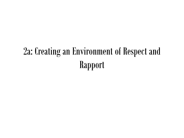# 2a: Creating an Environment of Respect and Rapport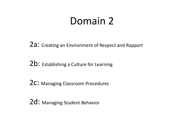### Domain 2

2a: Creating an Environment of Respect and Rapport

2b: Establishing a Culture for Learning

2C: Managing Classroom Procedures

2d: Managing Student Behavior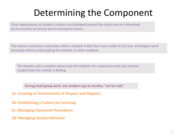### Determining the Component

Clear expectations of student conduct are displayed around the room and are referenced by the teacher at various points during the lesson.

The teacher continues instruction while a student enters the room, walks to his seat, and begins work promptly without interrupting the teacher or other students.

The teacher asks a student about how her audition for a play went and asks another student how his mother is feeling.

During small-group work, one student says to another, "Let her talk."

**2a: Creating an Environment of Respect and Rapport**

**2b: Establishing a Culture for Learning**

**2c: Managing Classroom Procedures**

**2d: Managing Student Behavior**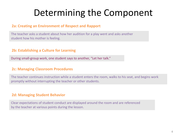### Determining the Component

#### **2a: Creating an Environment of Respect and Rapport**

The teacher asks a student about how her audition for a play went and asks another student how his mother is feeling.

#### **2b: Establishing a Culture for Learning**

During small-group work, one student says to another, "Let her talk."

#### **2c: Managing Classroom Procedures**

The teacher continues instruction while a student enters the room, walks to his seat, and begins work promptly without interrupting the teacher or other students.

#### **2d: Managing Student Behavior**

Clear expectations of student conduct are displayed around the room and are referenced by the teacher at various points during the lesson.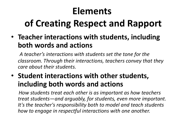### **Elements**

# **of Creating Respect and Rapport**

• **Teacher interactions with students, including both words and actions**

*A teacher's interactions with students set the tone for the classroom. Through their interactions, teachers convey that they care about their students.*

### • **Student interactions with other students, including both words and actions**

*How students treat each other is as important as how teachers treat students—and arguably, for students, even more important. It's the teacher's responsibility both to model and teach students how to engage in respectful interactions with one another.*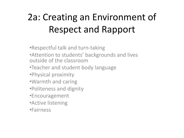# 2a: Creating an Environment of Respect and Rapport

•Respectful talk and turn-taking •Attention to students' backgrounds and lives outside of the classroom •Teacher and student body language •Physical proximity •Warmth and caring •Politeness and dignity •Encouragement •Active listening •Fairness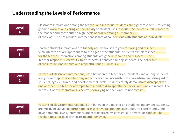#### **Understanding the Levels of Performance**

| <b>Level</b> |  |
|--------------|--|
| 4            |  |

Classroom interactions among the teacher and individual students are highly respectful, reflecting genuine warmth and caring and sensitivity to students as individuals. Students exhibit respect for the teacher and contribute to high levels of civility among all members of the class. The net result of interactions is that of connections with students as individuals.

**Level 3**

Teacher-student interactions are friendly and demonstrate general caring and respect. Such interactions are appropriate to the ages of the students. Students exhibit respect for the teacher. Interactions among students are generally polite and respectful. The teacher responds successfully to disrespectful behavior among students. The net result of the interactions is polite and respectful, but business-like.

**Level 2**

Patterns of classroom interactions, both between the teacher and students and among students, are generally appropriate but may reflect occasional inconsistencies, favoritism, and disregard for students' ages, cultures, and developmental levels. Students rarely demonstrate disrespect for one another. The teacher attempts to respond to disrespectful behavior, with uneven results. The net result of the interactions is neutral: conveying neither warmth nor conflict.

**Level 1**

Patterns of classroom interactions, both between the teacher and students and among students, are mostly negative, inappropriate, or insensitive to students' ages, cultural backgrounds, and developmental levels. Interactions are characterized by sarcasm, put-downs, or conflict. The teacher does not deal with disrespectful behavior.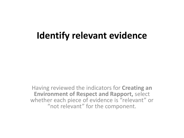### **Identify relevant evidence**

Having reviewed the indicators for **Creating an Environment of Respect and Rapport,** select whether each piece of evidence is "relevant" or "not relevant" for the component.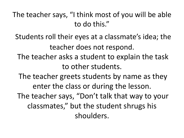The teacher says, "I think most of you will be able to do this."

Students roll their eyes at a classmate's idea; the teacher does not respond.

The teacher asks a student to explain the task to other students.

The teacher greets students by name as they enter the class or during the lesson.

The teacher says, "Don't talk that way to your classmates," but the student shrugs his shoulders.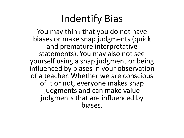# Indentify Bias

You may think that you do not have biases or make snap judgments (quick and premature interpretative statements). You may also not see yourself using a snap judgment or being influenced by biases in your observation of a teacher. Whether we are conscious of it or not, everyone makes snap judgments and can make value judgments that are influenced by biases.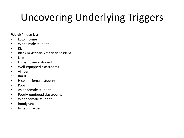# Uncovering Underlying Triggers

#### **Word/Phrase List**

- Low-income
- White male student
- Rich
- Black or African-American student
- Urban
- Hispanic male student
- Well-equipped classrooms
- Affluent
- Rural
- Hispanic female student
- Poor
- Asian female student
- Poorly-equipped classrooms
- White female student
- Immigrant
- Irritating accent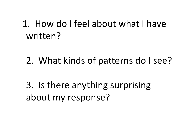### 1. How do I feel about what I have written?

2. What kinds of patterns do I see?

3. Is there anything surprising about my response?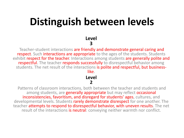## **Distinguish between levels**

**Level 3**

Teacher-student interactions are friendly and demonstrate general caring and respect. Such interactions are appropriate to the ages of the students. Students exhibit respect for the teacher. Interactions among students are generally polite and respectful. The teacher responds successfully to disrespectful behavior among students. The net result of the interactions is polite and respectful, but businesslike.

#### **Level**

#### **2** Patterns of classroom interactions, both between the teacher and students and among students, are **generally appropriate** but may reflect **occasional** inconsistencies, favoritism, and disregard for students' ages, cultures, and developmental levels. Students rarely demonstrate disrespect for one another. The teacher attempts to respond to disrespectful behavior, with uneven results. The net result of the interactions is neutral: conveying neither warmth nor conflict.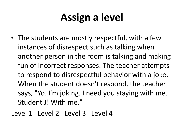# **Assign a level**

- The students are mostly respectful, with a few instances of disrespect such as talking when another person in the room is talking and making fun of incorrect responses. The teacher attempts to respond to disrespectful behavior with a joke. When the student doesn't respond, the teacher says, "Yo. I'm joking. I need you staying with me. Student J! With me."
- Level 1 Level 2 Level 3 Level 4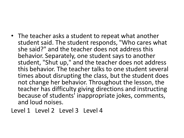• The teacher asks a student to repeat what another student said. The student responds, "Who cares what she said?" and the teacher does not address this behavior. Separately, one student says to another student, "Shut up," and the teacher does not address this behavior. The teacher talks to one student several times about disrupting the class, but the student does not change her behavior. Throughout the lesson, the teacher has difficulty giving directions and instructing because of students' inappropriate jokes, comments, and loud noises.

Level 1 Level 2 Level 3 Level 4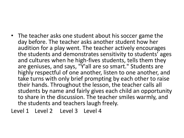• The teacher asks one student about his soccer game the day before. The teacher asks another student how her audition for a play went. The teacher actively encourages the students and demonstrates sensitivity to students' ages and cultures when he high-fives students, tells them they are geniuses, and says, "Y'all are so smart." Students are highly respectful of one another, listen to one another, and take turns with only brief prompting by each other to raise their hands. Throughout the lesson, the teacher calls all students by name and fairly gives each child an opportunity to share in the discussion. The teacher smiles warmly, and the students and teachers laugh freely.

Level 1 Level 2 Level 3 Level 4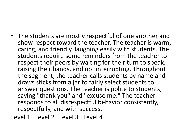• The students are mostly respectful of one another and show respect toward the teacher. The teacher is warm, caring, and friendly, laughing easily with students. The students require some reminders from the teacher to respect their peers by waiting for their turn to speak, raising their hands, and not interrupting. Throughout the segment, the teacher calls students by name and draws sticks from a jar to fairly select students to answer questions. The teacher is polite to students, saying "thank you" and "excuse me." The teacher responds to all disrespectful behavior consistently, respectfully, and with success.

Level 1 Level 2 Level 3 Level 4